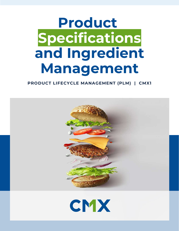# **Product Specifications and Ingredient Management**

### **PRODUCT LIFECYCLE MANAGEMENT (PLM) | CMX1**

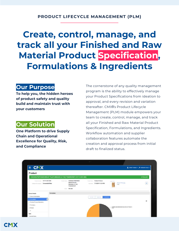## **Create, control, manage, and track all your Finished and Raw Material Product Specification, Formulations & Ingredients**

### **Our Purpose**

**To help you, the hidden heroes of product safety and quality build and maintain trust with your customers**

### **Our Solution**

**One Platform to drive Supply Chain and Operational Excellence for Quality, Risk, and Compliance**

The cornerstone of any quality management program is the ability to effectively manage your Product Specifications from ideation to approval, and every revision and variation thereafter. CMX**1**'s Product Lifecycle Management (PLM) module empowers your team to create, control, manage, and track all your Finished and Raw Material Product Specification, Formulations, and Ingredients. Workflow automation and supplier collaboration features automate the creation and approval process from initial draft to finalized status.

| $= CMX$                                                                             |                                                                                                                  |                                                                           |                                                     | $\triangle$ JEREMY THOMAS $\blacktriangleright$ $\blacktriangleright$ DEVELOPER TOOLS $\blacktriangleright$ |
|-------------------------------------------------------------------------------------|------------------------------------------------------------------------------------------------------------------|---------------------------------------------------------------------------|-----------------------------------------------------|-------------------------------------------------------------------------------------------------------------|
| Product                                                                             |                                                                                                                  |                                                                           |                                                     |                                                                                                             |
| CHICKEN-PORTIONED BREAST FILLET, BREADED (4.7 OZ) TENDERCRISP (101113.V01.R00)      |                                                                                                                  |                                                                           |                                                     | <b>V FINALIZED</b>                                                                                          |
| Product from the: 101113.V01.R00<br>Catagory/Sub-Catagory Consumable/Meat           | CHICKEN-PORTIONED<br>Product Name<br><b>BREAST FILLET.</b><br>BREADED (4.7 OZ)<br>TENDERCRISP<br>Author: QA User | <b>Product Travel Finished Product</b><br>https://min. 7/18/2019 12:34 PM | Attachment:<br>Breast Fillets (pg<br>à<br>9KB       | $\triangle$                                                                                                 |
| Formulation<br><b>Product Details</b><br>Ceneral Information                        |                                                                                                                  |                                                                           |                                                     |                                                                                                             |
| « Formulation<br>$\alpha$                                                           |                                                                                                                  | <b>DHAIR YEAR</b><br>LIST WEW<br>CRADEVIEW                                |                                                     | 亖                                                                                                           |
| Finished Product Standards<br>v Packaging<br>$\checkmark$ : Storage<br>$\mathbb{H}$ |                                                                                                                  |                                                                           | COMBINED MEASMARINAGE/SOLATED GAT PRODUCT:<br>27.0% |                                                                                                             |
| Apps<br>Internal Notes                                                              |                                                                                                                  |                                                                           |                                                     |                                                                                                             |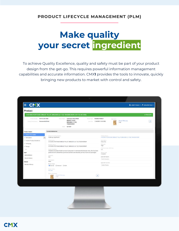## **Make quality your secret ingredient**

To achieve Quality Excellence, quality and safety must be part of your product design from the get-go. This requires powerful information management capabilities and accurate information. CMX**1** provides the tools to innovate, quickly bringing new products to market with control and safety.

| Product                                                                                                                                                                                                             |                                                                                                                                                                                                                                                                                                                                                                                                                                                                                                                                                                                                                                                                                                                                                                                                                                                                              |           |
|---------------------------------------------------------------------------------------------------------------------------------------------------------------------------------------------------------------------|------------------------------------------------------------------------------------------------------------------------------------------------------------------------------------------------------------------------------------------------------------------------------------------------------------------------------------------------------------------------------------------------------------------------------------------------------------------------------------------------------------------------------------------------------------------------------------------------------------------------------------------------------------------------------------------------------------------------------------------------------------------------------------------------------------------------------------------------------------------------------|-----------|
|                                                                                                                                                                                                                     | CHICKEN-PORTIONED BREAST FILLET, BREADED (4.7 OZ) TENDERCRISP (101113.V01.R00)                                                                                                                                                                                                                                                                                                                                                                                                                                                                                                                                                                                                                                                                                                                                                                                               | FINALIZED |
| Product Humber 101113.V01.R00<br>Canopay/flab-Callegory: Consumable/Meat                                                                                                                                            | Product Name: CHICKEN-PORTIONED<br>Product Type Finished Product<br>Attachment<br><b>BREAST FILLET,</b><br>Breast Fillets.jpg<br>time bate 7/18/2019 12:34 PM<br>BREADED (4.7 OZ)<br>9 KB<br>TENDERCRISP<br>Author: QA User                                                                                                                                                                                                                                                                                                                                                                                                                                                                                                                                                                                                                                                  | a.        |
| <b>Product Details</b>                                                                                                                                                                                              | <b>General Information</b>                                                                                                                                                                                                                                                                                                                                                                                                                                                                                                                                                                                                                                                                                                                                                                                                                                                   |           |
| General Information<br>$\times$ Formulation<br>$\ll$<br>Finished Product Standards<br>$\vee$ Packaging<br>$\checkmark$ Storage<br>$\top$<br>Apps<br>Internal Notes<br>Record History<br>Related<br>Revision History | Research for Creating Vanation:<br>Prendoupt Versions<br>Updating Ingredients.<br>CHICKEN-PORTIONED BREAST FILLET, BREADED (4.7 GZ) TENDERCRISP<br>Manu Status<br>Product Name:<br>CHICKEN-PORTIONED BREAST FILLET, BREADED (4.7 OZ) TENDERCRISP<br>Every Day<br>Ruktmel:<br>Regularory Name:<br>High<br>CHICKEN-PORTIONED BREAST FILLET, BREADED (4.7 OZ) TENDERCRISP<br>CTIN Commodity / UPC Code:<br>Product Description<br>n/a<br>A labeled uncooked chicken product composed of marinated whole breast meat, that has been<br>portioned with a Marel Revo portioner, battered and breaded, parfried, frozen and packaged.<br>Effective Date<br>7/1/2019<br>Esternal III:<br>Applicable Regions:<br>n/a<br>North America<br>Sub-Cellegory<br>Meat<br>Applicable Countries:<br>Product Owner:<br>United States<br>Internal O External O Both<br>Produm Author:<br>QA User |           |
|                                                                                                                                                                                                                     | Product Atlachment:<br>Breast Fillets jod.<br>ä.<br>9KB                                                                                                                                                                                                                                                                                                                                                                                                                                                                                                                                                                                                                                                                                                                                                                                                                      |           |

**CMX**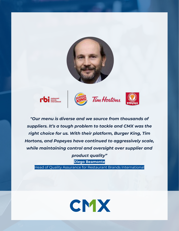









*"Our menu is diverse and we source from thousands of suppliers. It's a tough problem to tackle and CMX was the right choice for us. With their platform, Burger King, Tim Hortons, and Popeyes have continued to aggressively scale, while maintaining control and oversight over supplier and product quality"*

**Diego Beamonte**

Head of Quality Assurance for Restaurant Brands International

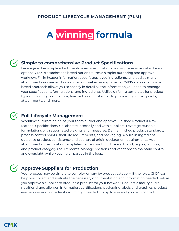## **A winning formula**

### **Simple to comprehensive Product Specifications**

Leverage either simple attachment-based specifications or comprehensive data-driven options. CMX**1**'s attachment-based option utilizes a simpler authoring and approval workflow. Fill in header information, specify approved ingredients, and add as many attachments as needed. For a more comprehensive approach, CMX**1**'s data-rich, formsbased approach allows you to specify in detail all the information you need to manage your specifications, formulations, and ingredients. Utilize differing templates for product types, including formulations, finished product standards, processing control points, attachments, and more.

### **Full Lifecycle Management**

Workflow automation helps your team author and approve Finished Product & Raw Material Specifications. Collaborate internally and with suppliers. Leverage reusable formulations with automated weights and measures. Define finished product standards, process control points, shelf-life requirements, and packaging. A built-in ingredient database provides consistency and country of origin declaration requirements. Add attachments. Specification templates can account for differing brand, region, country, and product category requirements. Manage revisions and variations to maintain control and oversight, while keeping all parties in the loop.

### **Approve Suppliers for Production**

Your process may be simple to complex or vary by product category. Either way, CMX**1** can help you collect and evaluate the necessary documentation and information needed before you approve a supplier to produce a product for your network. Request a facility audit, nutritional and allergen information, certifications, packaging labels and graphics, product evaluations, and ingredients sourcing if needed. It's up to you and you're in control.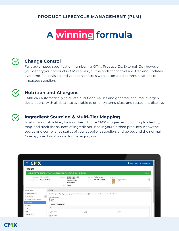## **A winning formula**

### **Change Control**

Fully automated specification numbering, GTIN, Product IDs, External IDs - however you identify your products - CMX**1** gives you the tools for control and tracking updates over time. Full revision and variation controls with automated communications to impacted suppliers.

### **Nutrition and Allergens**

CMX**1** can automatically calculate nutritional values and generate accurate allergen declarations, with all data also available to other systems, sites, and restaurant displays.

### **Ingredient Sourcing & Multi-Tier Mapping**

Most of your risk is likely beyond Tier 1. Utilize CMX**1**'s Ingredient Sourcing to identify, map, and track the sources of ingredients used in your finished products. Know the source and compliance status of your supplier's suppliers and go beyond the normal "one up, one down" model for managing risk.

|                                                                                                                | Sales Pro                                                                                                                                                                                                           |                                                     |
|----------------------------------------------------------------------------------------------------------------|---------------------------------------------------------------------------------------------------------------------------------------------------------------------------------------------------------------------|-----------------------------------------------------|
| $= CNX$                                                                                                        |                                                                                                                                                                                                                     | <b>E</b> JEREMY THOMAS > <b>F</b> DEVELOPER TOOLS > |
| Product                                                                                                        |                                                                                                                                                                                                                     |                                                     |
|                                                                                                                | CHICKEN-PORTIONED BREAST FILLET, BREADED (4.7 OZ) TENDERCRISP (101113.V01.R00)                                                                                                                                      | <b>√ FINALIZED</b>                                  |
| 101113, V01.R00<br>Product flucture<br>Consumable/Meat<br>Caragory/Sch Category                                | <b>Finished Product</b><br>CHICKEN-PORTIONED<br>Product Nishie<br>Product Type:<br>Attachment<br><b>BREAST FILLET</b><br>lass Date: 7/18/2019 12:34 PM<br>BREADED (4.7 OZ)<br><b>TENDERCRISP</b><br>Author: QA User | Breast Fillets.pg<br>A<br>9KB                       |
| <b>Product Details</b><br>↓ General Information<br>ĸ<br>$\checkmark$ Formulation<br>Finished Product Standards | Packaging<br>Note: When you are inputting the packaging, add them in order from closest (directly in contact) to the food to furthest from the food.<br>System of Measurement<br><b>C</b> English                   |                                                     |
| √ Packaging<br>√ Storage<br> T                                                                                 | O Metric<br>∧ Layers of Packaging:*<br>$\wedge$ 1                                                                                                                                                                   |                                                     |
| Apps<br><b>Internal Notes</b><br>Call Automobile<br><b>WASHINGTON</b>                                          | Type of Package<br>Material<br>Bag<br>Plastic<br>la Tarriper Evident?<br><b>BUAN</b>                                                                                                                                | Enclosure<br>Lid                                    |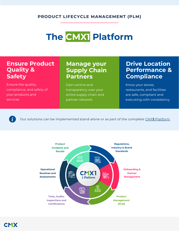## **The CMX1 Platform**

### **Ensure Product Quality & Safety**

Ensure the quality, compliance, and safety of your products and services

### **Manage your Supply Chain Partners**

Gain control and transparency over your entire supply chain and partner network

### **Drive Location Performance & Compliance**

Know your stores, restaurants, and facilities are safe, compliant and executing with consistency

 $\dot{\mathbf{z}}$ 

Our solutions can be implemented stand-alone or as part of the complete CMX**1** [Platform](http://www.cmx1.com/solutions)